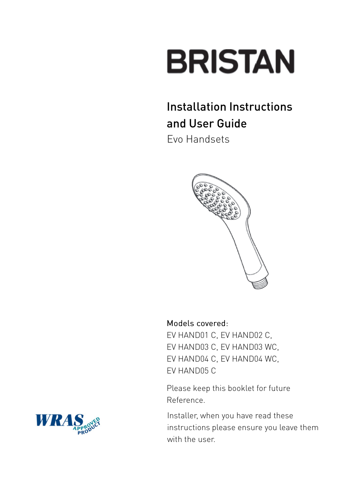# **BRISTAN**

### Installation Instructions and User Guide

Evo Handsets



#### Models covered:

EV HAND01 C, EV HAND02 C, EV HAND03 C, EV HAND03 WC, EV HAND04 C, EV HAND04 WC, EV HAND05 C

Please keep this booklet for future Reference.

Installer, when you have read these instructions please ensure you leave them with the user.

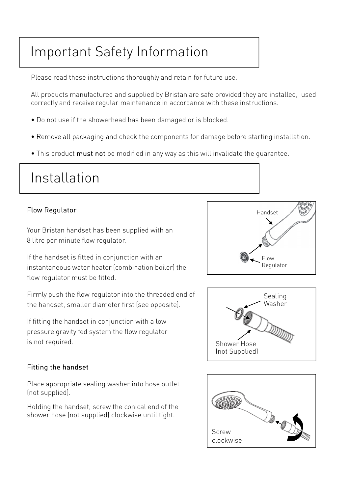## Important Safety Information

Please read these instructions thoroughly and retain for future use.

All products manufactured and supplied by Bristan are safe provided they are installed, used correctly and receive regular maintenance in accordance with these instructions.

- Do not use if the showerhead has been damaged or is blocked.
- Remove all packaging and check the components for damage before starting installation.
- This product must not be modified in any way as this will invalidate the quarantee.

# Installation

#### Flow Regulator

Your Bristan handset has been supplied with an 8 litre per minute flow regulator.

If the handset is fitted in conjunction with an instantaneous water heater (combination boiler) the flow regulator must be fitted.

Firmly push the flow regulator into the threaded end of the handset, smaller diameter first (see opposite).

If fitting the handset in conjunction with a low pressure gravity fed system the flow regulator is not required.

#### Fitting the handset

Place appropriate sealing washer into hose outlet (not supplied).

Holding the handset, screw the conical end of the shower hose (not supplied) clockwise until tight.





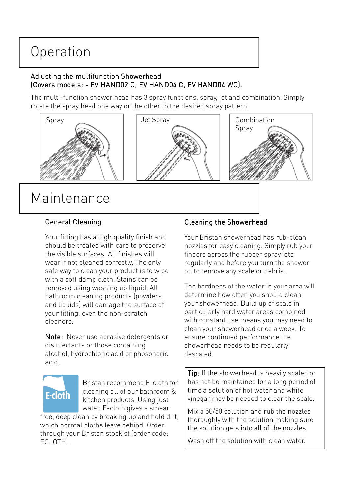## Operation

#### Adjusting the multifunction Showerhead (Covers models: - EV HAND02 C, EV HAND04 C, EV HAND04 WC).

The multi-function shower head has 3 spray functions, spray, jet and combination. Simply rotate the spray head one way or the other to the desired spray pattern.



#### General Cleaning

Your fitting has a high quality finish and should be treated with care to preserve the visible surfaces. All finishes will wear if not cleaned correctly. The only safe way to clean your product is to wipe with a soft damp cloth. Stains can be removed using washing up liquid. All bathroom cleaning products (powders and liquids) will damage the surface of your fitting, even the non-scratch cleaners.

Note: Never use abrasive detergents or disinfectants or those containing alcohol, hydrochloric acid or phosphoric acid.

# **E-cloth**

Bristan recommend E-cloth for cleaning all of our bathroom & kitchen products. Using just water, E-cloth gives a smear free, deep clean by breaking up and hold dirt,

which normal cloths leave behind. Order through your Bristan stockist (order code: ECLOTH).

#### Cleaning the Showerhead

Your Bristan showerhead has rub-clean nozzles for easy cleaning. Simply rub your fingers across the rubber spray jets regularly and before you turn the shower on to remove any scale or debris.

The hardness of the water in your area will determine how often you should clean your showerhead. Build up of scale in particularly hard water areas combined with constant use means you may need to clean your showerhead once a week. To ensure continued performance the showerhead needs to be regularly descaled.

Tip: If the showerhead is heavily scaled or has not be maintained for a long period of time a solution of hot water and white vinegar may be needed to clear the scale.

Mix a 50/50 solution and rub the nozzles thoroughly with the solution making sure the solution gets into all of the nozzles.

Wash off the solution with clean water.